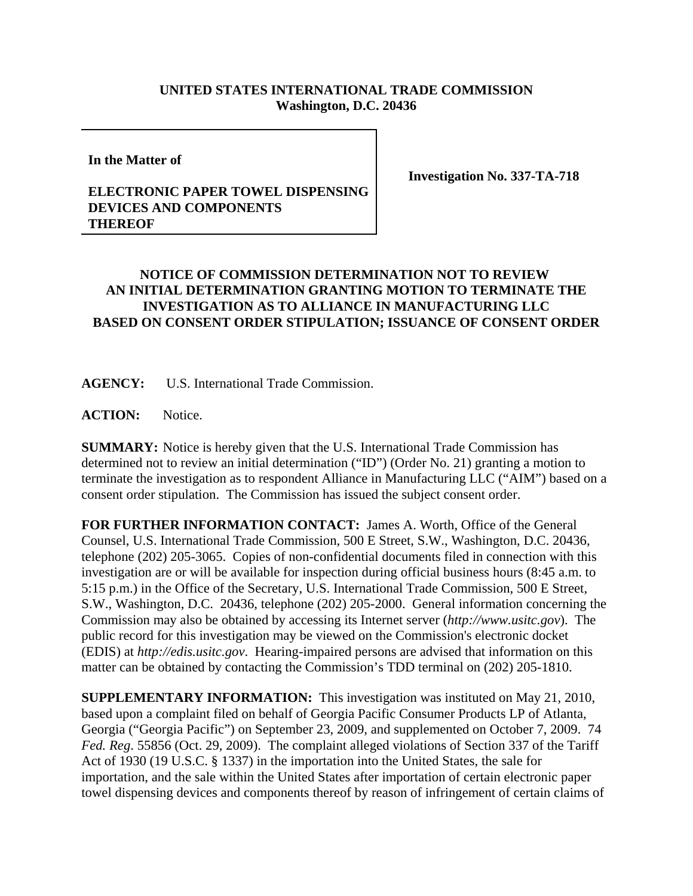## **UNITED STATES INTERNATIONAL TRADE COMMISSION Washington, D.C. 20436**

**In the Matter of**

**Investigation No. 337-TA-718**

## **ELECTRONIC PAPER TOWEL DISPENSING DEVICES AND COMPONENTS THEREOF**

## **NOTICE OF COMMISSION DETERMINATION NOT TO REVIEW AN INITIAL DETERMINATION GRANTING MOTION TO TERMINATE THE INVESTIGATION AS TO ALLIANCE IN MANUFACTURING LLC BASED ON CONSENT ORDER STIPULATION; ISSUANCE OF CONSENT ORDER**

**AGENCY:** U.S. International Trade Commission.

**ACTION:** Notice.

**SUMMARY:** Notice is hereby given that the U.S. International Trade Commission has determined not to review an initial determination ("ID") (Order No. 21) granting a motion to terminate the investigation as to respondent Alliance in Manufacturing LLC ("AIM") based on a consent order stipulation. The Commission has issued the subject consent order.

**FOR FURTHER INFORMATION CONTACT:** James A. Worth, Office of the General Counsel, U.S. International Trade Commission, 500 E Street, S.W., Washington, D.C. 20436, telephone (202) 205-3065. Copies of non-confidential documents filed in connection with this investigation are or will be available for inspection during official business hours (8:45 a.m. to 5:15 p.m.) in the Office of the Secretary, U.S. International Trade Commission, 500 E Street, S.W., Washington, D.C. 20436, telephone (202) 205-2000. General information concerning the Commission may also be obtained by accessing its Internet server (*http://www.usitc.gov*). The public record for this investigation may be viewed on the Commission's electronic docket (EDIS) at *http://edis.usitc.gov*. Hearing-impaired persons are advised that information on this matter can be obtained by contacting the Commission's TDD terminal on (202) 205-1810.

**SUPPLEMENTARY INFORMATION:** This investigation was instituted on May 21, 2010, based upon a complaint filed on behalf of Georgia Pacific Consumer Products LP of Atlanta, Georgia ("Georgia Pacific") on September 23, 2009, and supplemented on October 7, 2009. 74 *Fed. Reg*. 55856 (Oct. 29, 2009). The complaint alleged violations of Section 337 of the Tariff Act of 1930 (19 U.S.C. § 1337) in the importation into the United States, the sale for importation, and the sale within the United States after importation of certain electronic paper towel dispensing devices and components thereof by reason of infringement of certain claims of